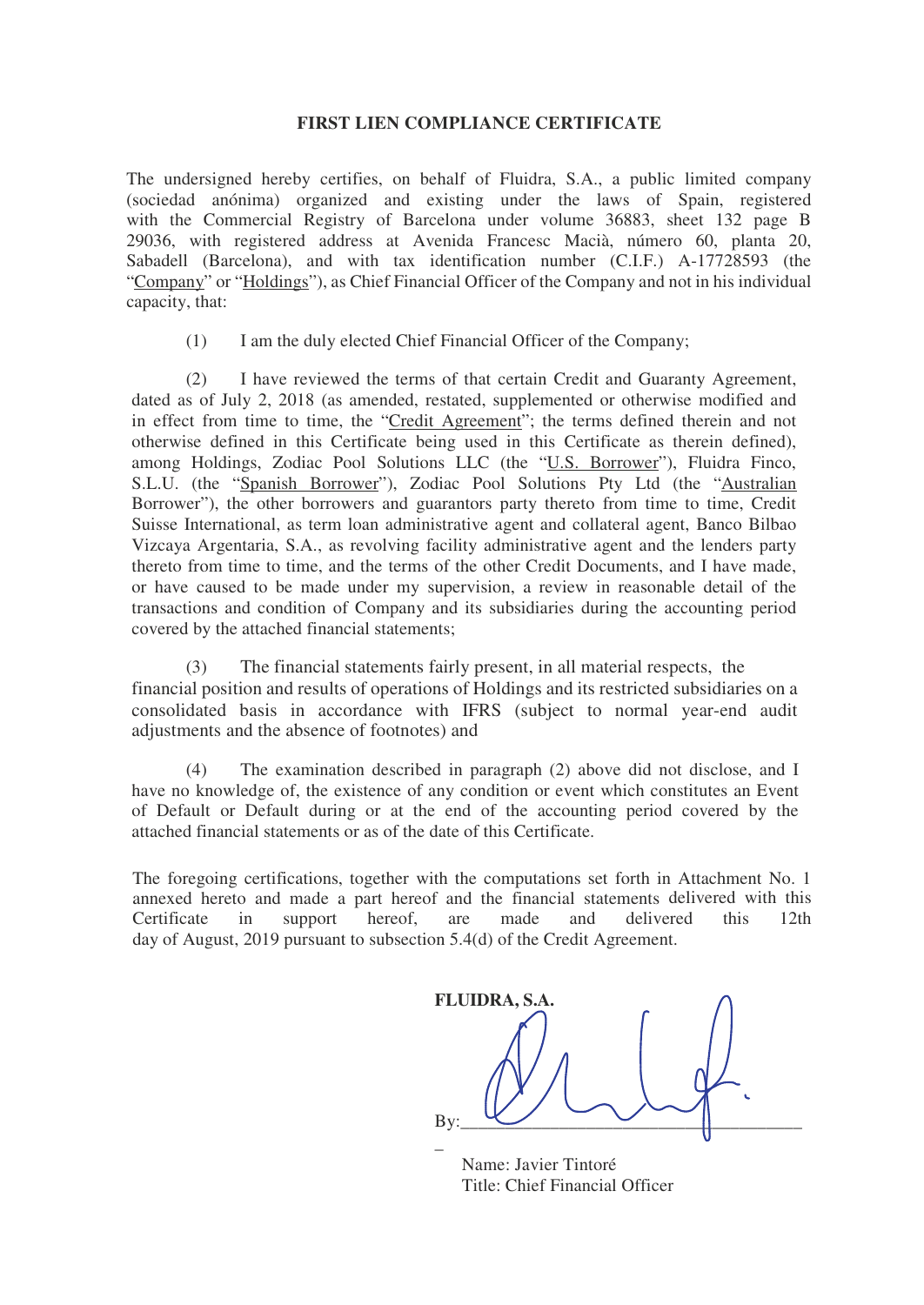## **FIRST LIEN COMPLIANCE CERTIFICATE**

The undersigned hereby certifies, on behalf of Fluidra, S.A., a public limited company (sociedad anónima) organized and existing under the laws of Spain, registered with the Commercial Registry of Barcelona under volume 36883, sheet 132 page B 29036, with registered address at Avenida Francesc Macià, número 60, planta 20, Sabadell (Barcelona), and with tax identification number (C.I.F.) A-17728593 (the "Company" or "Holdings"), as Chief Financial Officer of the Company and not in his individual capacity, that:

(1) I am the duly elected Chief Financial Officer of the Company;

(2) I have reviewed the terms of that certain Credit and Guaranty Agreement, dated as of July 2, 2018 (as amended, restated, supplemented or otherwise modified and in effect from time to time, the "Credit Agreement"; the terms defined therein and not otherwise defined in this Certificate being used in this Certificate as therein defined), among Holdings, Zodiac Pool Solutions LLC (the "U.S. Borrower"), Fluidra Finco, S.L.U. (the "Spanish Borrower"), Zodiac Pool Solutions Pty Ltd (the "Australian Borrower"), the other borrowers and guarantors party thereto from time to time, Credit Suisse International, as term loan administrative agent and collateral agent, Banco Bilbao Vizcaya Argentaria, S.A., as revolving facility administrative agent and the lenders party thereto from time to time, and the terms of the other Credit Documents, and I have made, or have caused to be made under my supervision, a review in reasonable detail of the transactions and condition of Company and its subsidiaries during the accounting period covered by the attached financial statements;

(3) The financial statements fairly present, in all material respects, the financial position and results of operations of Holdings and its restricted subsidiaries on a consolidated basis in accordance with IFRS (subject to normal year-end audit adjustments and the absence of footnotes) and

(4) The examination described in paragraph (2) above did not disclose, and I have no knowledge of, the existence of any condition or event which constitutes an Event of Default or Default during or at the end of the accounting period covered by the attached financial statements or as of the date of this Certificate.

The foregoing certifications, together with the computations set forth in Attachment No. 1 annexed hereto and made a part hereof and the financial statements delivered with this Certificate in support hereof, are made and delivered this 12th day of August, 2019 pursuant to subsection 5.4(d) of the Credit Agreement.

**FLUIDRA, S.A.**